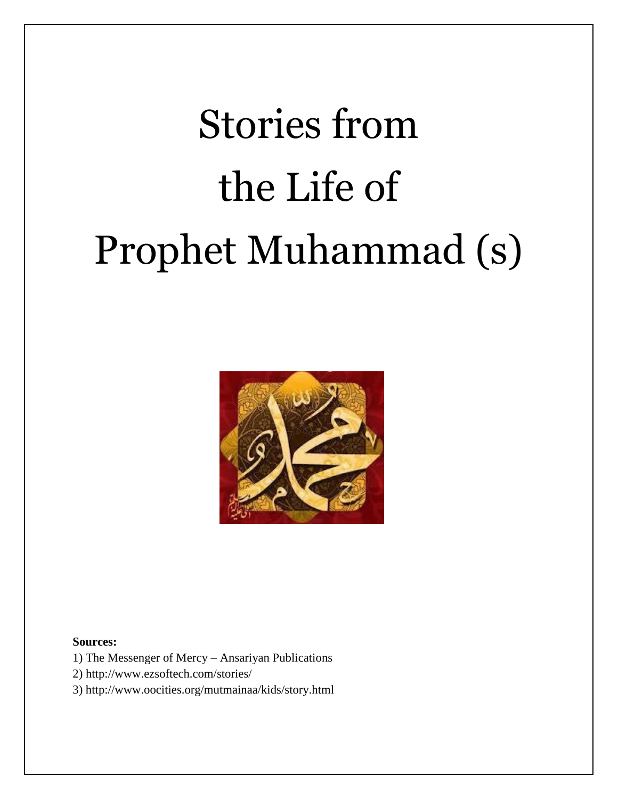# Stories from the Life of Prophet Muhammad (s)



#### **Sources:**

- 1) The Messenger of Mercy Ansariyan Publications
- 2) http://www.ezsoftech.com/stories/
- 3) http://www.oocities.org/mutmainaa/kids/story.html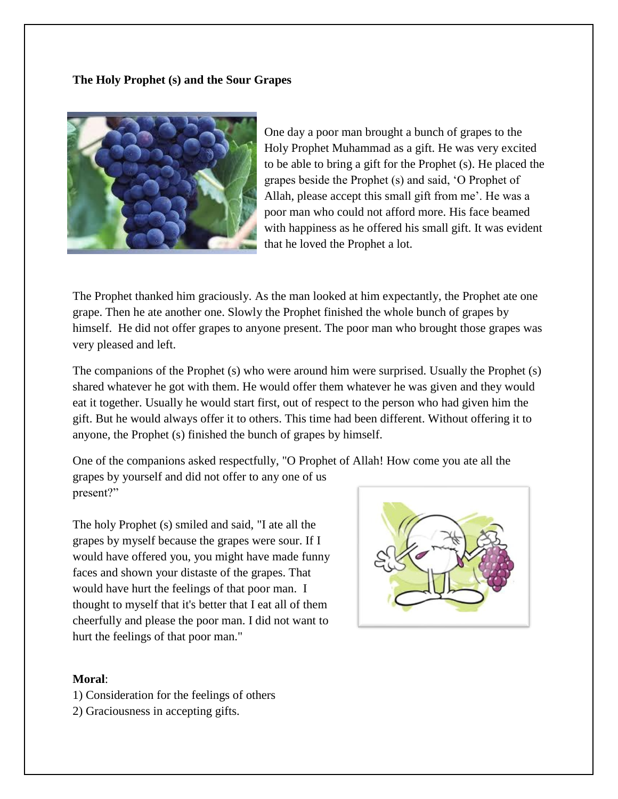**The Holy Prophet (s) and the Sour Grapes**



One day a poor man brought a bunch of grapes to the Holy Prophet Muhammad as a gift. He was very excited to be able to bring a gift for the Prophet (s). He placed the grapes beside the Prophet (s) and said, 'O Prophet of Allah, please accept this small gift from me'. He was a poor man who could not afford more. His face beamed with happiness as he offered his small gift. It was evident that he loved the Prophet a lot.

The Prophet thanked him graciously. As the man looked at him expectantly, the Prophet ate one grape. Then he ate another one. Slowly the Prophet finished the whole bunch of grapes by himself. He did not offer grapes to anyone present. The poor man who brought those grapes was very pleased and left.

The companions of the Prophet (s) who were around him were surprised. Usually the Prophet (s) shared whatever he got with them. He would offer them whatever he was given and they would eat it together. Usually he would start first, out of respect to the person who had given him the gift. But he would always offer it to others. This time had been different. Without offering it to anyone, the Prophet (s) finished the bunch of grapes by himself.

One of the companions asked respectfully, "O Prophet of Allah! How come you ate all the grapes by yourself and did not offer to any one of us present?"

The holy Prophet (s) smiled and said, "I ate all the grapes by myself because the grapes were sour. If I would have offered you, you might have made funny faces and shown your distaste of the grapes. That would have hurt the feelings of that poor man. I thought to myself that it's better that I eat all of them cheerfully and please the poor man. I did not want to hurt the feelings of that poor man."



- 1) Consideration for the feelings of others
- 2) Graciousness in accepting gifts.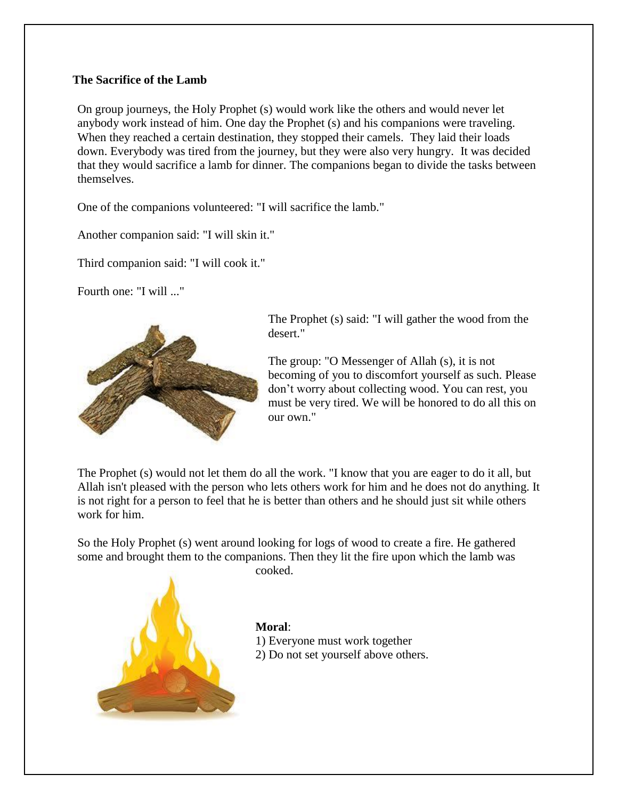# **The Sacrifice of the Lamb**

On group journeys, the Holy Prophet (s) would work like the others and would never let anybody work instead of him. One day the Prophet (s) and his companions were traveling. When they reached a certain destination, they stopped their camels. They laid their loads down. Everybody was tired from the journey, but they were also very hungry. It was decided that they would sacrifice a lamb for dinner. The companions began to divide the tasks between themselves.

One of the companions volunteered: "I will sacrifice the lamb."

Another companion said: "I will skin it."

Third companion said: "I will cook it."

Fourth one: "I will ..."



The Prophet (s) said: "I will gather the wood from the desert."

The group: "O Messenger of Allah (s), it is not becoming of you to discomfort yourself as such. Please don't worry about collecting wood. You can rest, you must be very tired. We will be honored to do all this on our own."

The Prophet (s) would not let them do all the work. "I know that you are eager to do it all, but Allah isn't pleased with the person who lets others work for him and he does not do anything. It is not right for a person to feel that he is better than others and he should just sit while others work for him.

So the Holy Prophet (s) went around looking for logs of wood to create a fire. He gathered some and brought them to the companions. Then they lit the fire upon which the lamb was cooked.



**Moral**: 1) Everyone must work together 2) Do not set yourself above others.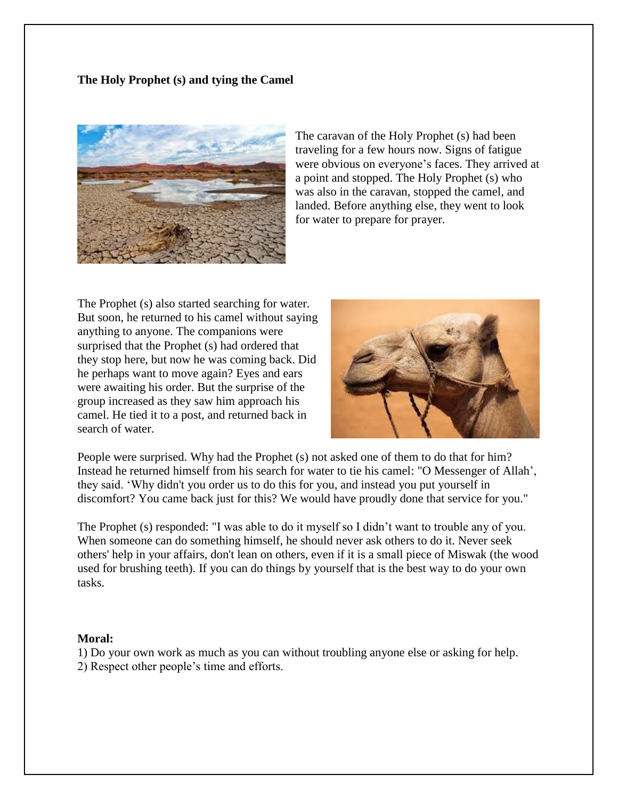# **The Holy Prophet (s) and tying the Camel**



The caravan of the Holy Prophet (s) had been traveling for a few hours now. Signs of fatigue were obvious on everyone's faces. They arrived at a point and stopped. The Holy Prophet (s) who was also in the caravan, stopped the camel, and landed. Before anything else, they went to look for water to prepare for prayer.

The Prophet (s) also started searching for water. But soon, he returned to his camel without saying anything to anyone. The companions were surprised that the Prophet (s) had ordered that they stop here, but now he was coming back. Did he perhaps want to move again? Eyes and ears were awaiting his order. But the surprise of the group increased as they saw him approach his camel. He tied it to a post, and returned back in search of water.



People were surprised. Why had the Prophet (s) not asked one of them to do that for him? Instead he returned himself from his search for water to tie his camel: "O Messenger of Allah', they said. 'Why didn't you order us to do this for you, and instead you put yourself in discomfort? You came back just for this? We would have proudly done that service for you."

The Prophet (s) responded: "I was able to do it myself so I didn't want to trouble any of you. When someone can do something himself, he should never ask others to do it. Never seek others' help in your affairs, don't lean on others, even if it is a small piece of Miswak (the wood used for brushing teeth). If you can do things by yourself that is the best way to do your own tasks.

#### **Moral:**

1) Do your own work as much as you can without troubling anyone else or asking for help. 2) Respect other people's time and efforts.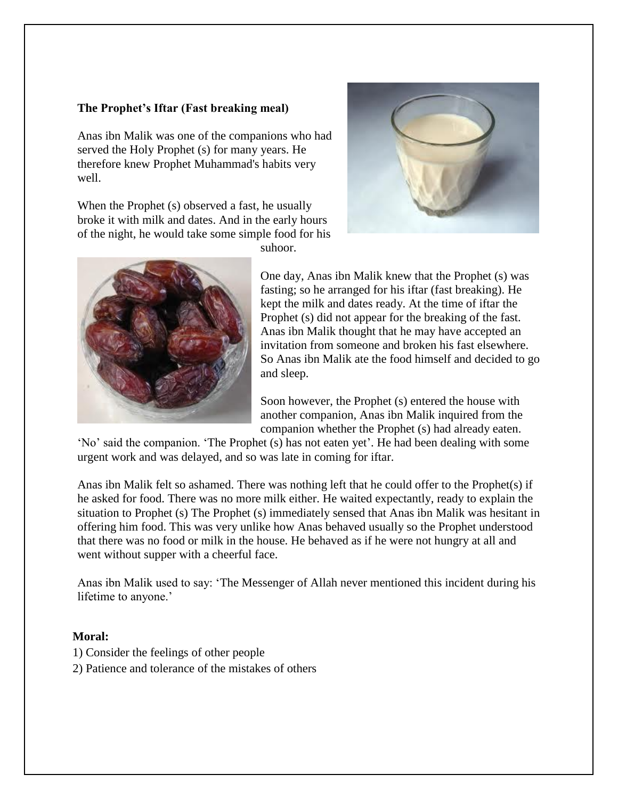# **The Prophet's Iftar (Fast breaking meal)**

Anas ibn Malik was one of the companions who had served the Holy Prophet (s) for many years. He therefore knew Prophet Muhammad's habits very well.

When the Prophet (s) observed a fast, he usually broke it with milk and dates. And in the early hours of the night, he would take some simple food for his



suhoor.

One day, Anas ibn Malik knew that the Prophet (s) was fasting; so he arranged for his iftar (fast breaking). He kept the milk and dates ready. At the time of iftar the Prophet (s) did not appear for the breaking of the fast. Anas ibn Malik thought that he may have accepted an invitation from someone and broken his fast elsewhere. So Anas ibn Malik ate the food himself and decided to go and sleep.

Soon however, the Prophet (s) entered the house with another companion, Anas ibn Malik inquired from the companion whether the Prophet (s) had already eaten.

'No' said the companion. 'The Prophet (s) has not eaten yet'. He had been dealing with some urgent work and was delayed, and so was late in coming for iftar.

Anas ibn Malik felt so ashamed. There was nothing left that he could offer to the Prophet(s) if he asked for food. There was no more milk either. He waited expectantly, ready to explain the situation to Prophet (s) The Prophet (s) immediately sensed that Anas ibn Malik was hesitant in offering him food. This was very unlike how Anas behaved usually so the Prophet understood that there was no food or milk in the house. He behaved as if he were not hungry at all and went without supper with a cheerful face.

Anas ibn Malik used to say: 'The Messenger of Allah never mentioned this incident during his lifetime to anyone.'

- 1) Consider the feelings of other people
- 2) Patience and tolerance of the mistakes of others

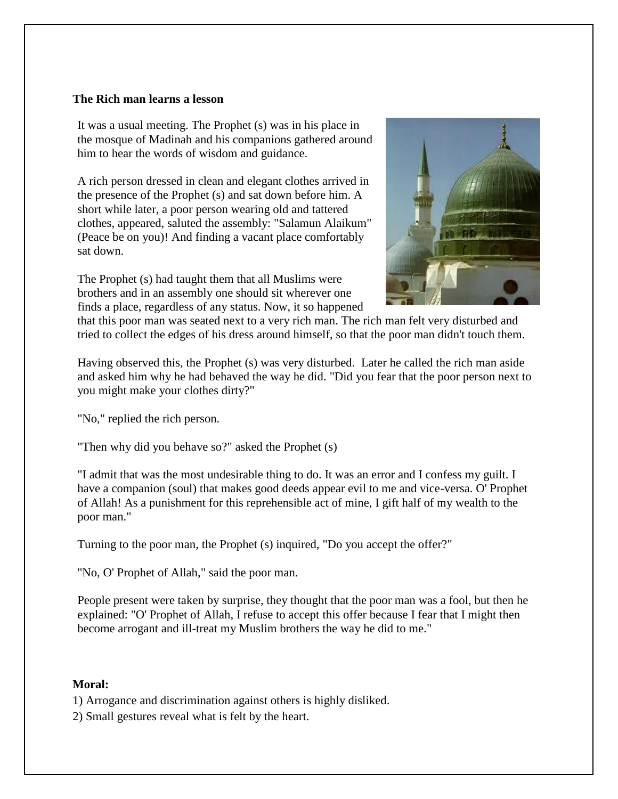## **The Rich man learns a lesson**

It was a usual meeting. The Prophet (s) was in his place in the mosque of Madinah and his companions gathered around him to hear the words of wisdom and guidance.

A rich person dressed in clean and elegant clothes arrived in the presence of the Prophet (s) and sat down before him. A short while later, a poor person wearing old and tattered clothes, appeared, saluted the assembly: "Salamun Alaikum" (Peace be on you)! And finding a vacant place comfortably sat down.

The Prophet (s) had taught them that all Muslims were brothers and in an assembly one should sit wherever one finds a place, regardless of any status. Now, it so happened



that this poor man was seated next to a very rich man. The rich man felt very disturbed and tried to collect the edges of his dress around himself, so that the poor man didn't touch them.

Having observed this, the Prophet (s) was very disturbed. Later he called the rich man aside and asked him why he had behaved the way he did. "Did you fear that the poor person next to you might make your clothes dirty?"

"No," replied the rich person.

"Then why did you behave so?" asked the Prophet (s)

"I admit that was the most undesirable thing to do. It was an error and I confess my guilt. I have a companion (soul) that makes good deeds appear evil to me and vice-versa. O' Prophet of Allah! As a punishment for this reprehensible act of mine, I gift half of my wealth to the poor man."

Turning to the poor man, the Prophet (s) inquired, "Do you accept the offer?"

"No, O' Prophet of Allah," said the poor man.

People present were taken by surprise, they thought that the poor man was a fool, but then he explained: "O' Prophet of Allah, I refuse to accept this offer because I fear that I might then become arrogant and ill-treat my Muslim brothers the way he did to me."

#### **Moral:**

1) Arrogance and discrimination against others is highly disliked.

2) Small gestures reveal what is felt by the heart.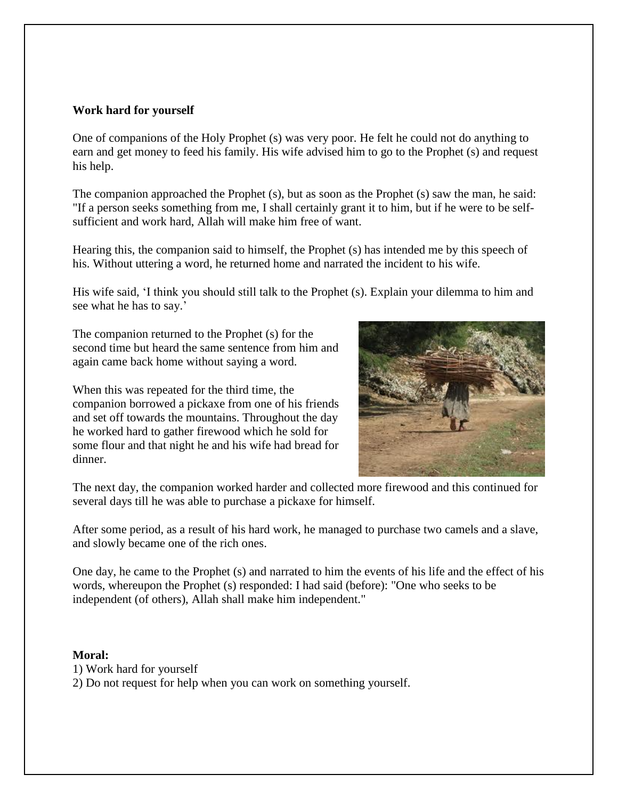## **Work hard for yourself**

One of companions of the Holy Prophet (s) was very poor. He felt he could not do anything to earn and get money to feed his family. His wife advised him to go to the Prophet (s) and request his help.

The companion approached the Prophet (s), but as soon as the Prophet (s) saw the man, he said: "If a person seeks something from me, I shall certainly grant it to him, but if he were to be selfsufficient and work hard, Allah will make him free of want.

Hearing this, the companion said to himself, the Prophet (s) has intended me by this speech of his. Without uttering a word, he returned home and narrated the incident to his wife.

His wife said, 'I think you should still talk to the Prophet (s). Explain your dilemma to him and see what he has to say.'

The companion returned to the Prophet (s) for the second time but heard the same sentence from him and again came back home without saying a word.

When this was repeated for the third time, the companion borrowed a pickaxe from one of his friends and set off towards the mountains. Throughout the day he worked hard to gather firewood which he sold for some flour and that night he and his wife had bread for dinner.



The next day, the companion worked harder and collected more firewood and this continued for several days till he was able to purchase a pickaxe for himself.

After some period, as a result of his hard work, he managed to purchase two camels and a slave, and slowly became one of the rich ones.

One day, he came to the Prophet (s) and narrated to him the events of his life and the effect of his words, whereupon the Prophet (s) responded: I had said (before): "One who seeks to be independent (of others), Allah shall make him independent."

- 1) Work hard for yourself
- 2) Do not request for help when you can work on something yourself.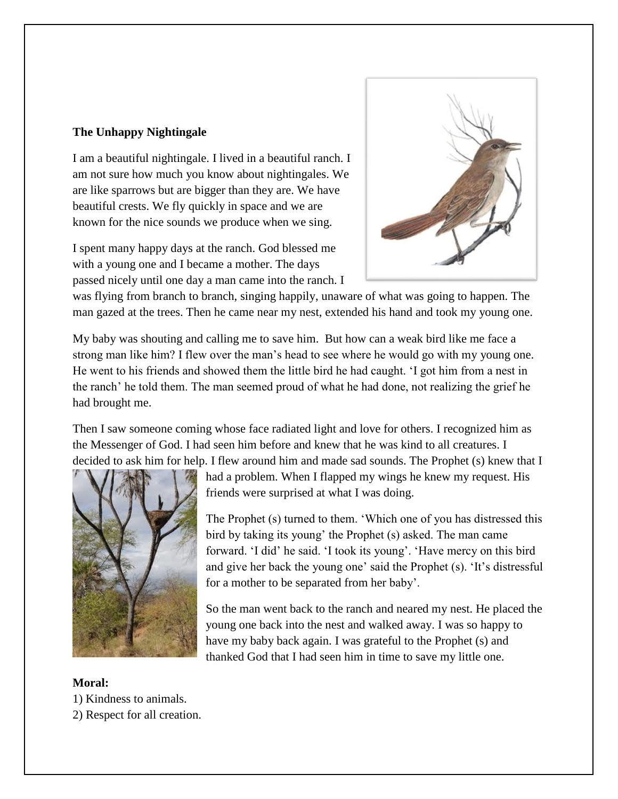# **The Unhappy Nightingale**

I am a beautiful nightingale. I lived in a beautiful ranch. I am not sure how much you know about nightingales. We are like sparrows but are bigger than they are. We have beautiful crests. We fly quickly in space and we are known for the nice sounds we produce when we sing.

I spent many happy days at the ranch. God blessed me with a young one and I became a mother. The days passed nicely until one day a man came into the ranch. I



was flying from branch to branch, singing happily, unaware of what was going to happen. The man gazed at the trees. Then he came near my nest, extended his hand and took my young one.

My baby was shouting and calling me to save him. But how can a weak bird like me face a strong man like him? I flew over the man's head to see where he would go with my young one. He went to his friends and showed them the little bird he had caught. 'I got him from a nest in the ranch' he told them. The man seemed proud of what he had done, not realizing the grief he had brought me.

Then I saw someone coming whose face radiated light and love for others. I recognized him as the Messenger of God. I had seen him before and knew that he was kind to all creatures. I decided to ask him for help. I flew around him and made sad sounds. The Prophet (s) knew that I



had a problem. When I flapped my wings he knew my request. His friends were surprised at what I was doing.

The Prophet (s) turned to them. 'Which one of you has distressed this bird by taking its young' the Prophet (s) asked. The man came forward. 'I did' he said. 'I took its young'. 'Have mercy on this bird and give her back the young one' said the Prophet (s). 'It's distressful for a mother to be separated from her baby'.

So the man went back to the ranch and neared my nest. He placed the young one back into the nest and walked away. I was so happy to have my baby back again. I was grateful to the Prophet (s) and thanked God that I had seen him in time to save my little one.

- 1) Kindness to animals.
- 2) Respect for all creation.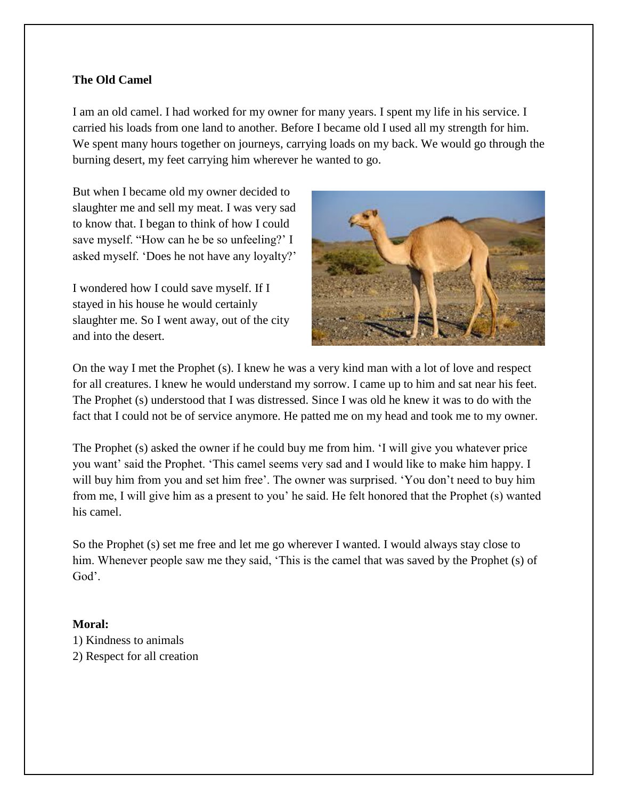# **The Old Camel**

I am an old camel. I had worked for my owner for many years. I spent my life in his service. I carried his loads from one land to another. Before I became old I used all my strength for him. We spent many hours together on journeys, carrying loads on my back. We would go through the burning desert, my feet carrying him wherever he wanted to go.

But when I became old my owner decided to slaughter me and sell my meat. I was very sad to know that. I began to think of how I could save myself. "How can he be so unfeeling?' I asked myself. 'Does he not have any loyalty?'

I wondered how I could save myself. If I stayed in his house he would certainly slaughter me. So I went away, out of the city and into the desert.



On the way I met the Prophet (s). I knew he was a very kind man with a lot of love and respect for all creatures. I knew he would understand my sorrow. I came up to him and sat near his feet. The Prophet (s) understood that I was distressed. Since I was old he knew it was to do with the fact that I could not be of service anymore. He patted me on my head and took me to my owner.

The Prophet (s) asked the owner if he could buy me from him. 'I will give you whatever price you want' said the Prophet. 'This camel seems very sad and I would like to make him happy. I will buy him from you and set him free'. The owner was surprised. 'You don't need to buy him from me, I will give him as a present to you' he said. He felt honored that the Prophet (s) wanted his camel.

So the Prophet (s) set me free and let me go wherever I wanted. I would always stay close to him. Whenever people saw me they said, 'This is the camel that was saved by the Prophet (s) of God'.

## **Moral:**

1) Kindness to animals 2) Respect for all creation